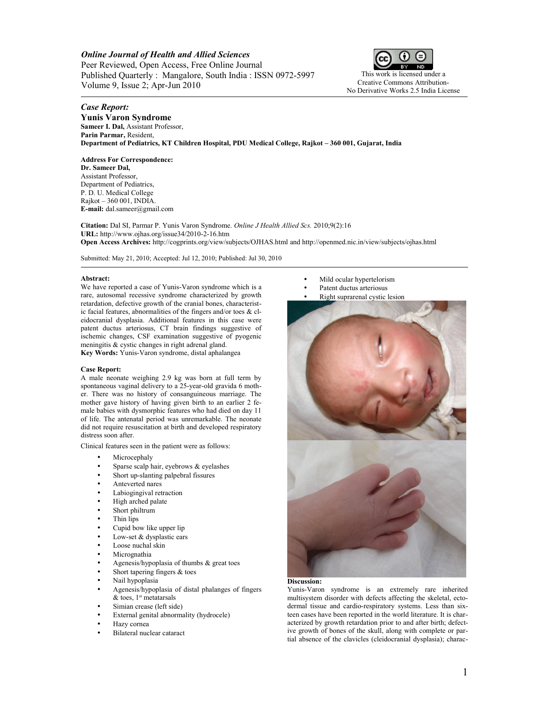# *Online Journal of Health and Allied Sciences*

Peer Reviewed, Open Access, Free Online Journal Published Quarterly : Mangalore, South India : ISSN 0972-5997 Volume 9, Issue 2; Apr-Jun 2010



# *Case Report:*

**Yunis Varon Syndrome Sameer I. Dal,** Assistant Professor, **Parin Parmar,** Resident, **Department of Pediatrics, KT Children Hospital, PDU Medical College, Rajkot – 360 001, Gujarat, India**

### **Address For Correspondence:**

**Dr. Sameer Dal,** Assistant Professor, Department of Pediatrics, P. D. U. Medical College Rajkot – 360 001, INDIA. **E-mail:** dal.sameer@gmail.com

**Citation:** Dal SI, Parmar P. Yunis Varon Syndrome. *Online J Health Allied Scs.* 2010;9(2):16 **URL:** http://www.ojhas.org/issue34/2010-2-16.htm **Open Access Archives:** http://cogprints.org/view/subjects/OJHAS.html and http://openmed.nic.in/view/subjects/ojhas.html

Submitted: May 21, 2010; Accepted: Jul 12, 2010; Published: Jul 30, 2010

#### **Abstract:**

We have reported a case of Yunis-Varon syndrome which is a rare, autosomal recessive syndrome characterized by growth retardation, defective growth of the cranial bones, characteristic facial features, abnormalities of the fingers and/or toes & cleidocranial dysplasia. Additional features in this case were patent ductus arteriosus, CT brain findings suggestive of ischemic changes, CSF examination suggestive of pyogenic meningitis & cystic changes in right adrenal gland.

**Key Words:** Yunis-Varon syndrome, distal aphalangea

### **Case Report:**

A male neonate weighing 2.9 kg was born at full term by spontaneous vaginal delivery to a 25-year-old gravida 6 mother. There was no history of consanguineous marriage. The mother gave history of having given birth to an earlier 2 female babies with dysmorphic features who had died on day 11 of life. The antenatal period was unremarkable. The neonate did not require resuscitation at birth and developed respiratory distress soon after.

Clinical features seen in the patient were as follows:

- **Microcephaly**
- Sparse scalp hair, eyebrows  $&$  eyelashes
- Short up-slanting palpebral fissures
- Anteverted nares
- Labiogingival retraction
- High arched palate
- Short philtrum
- Thin lips
- Cupid bow like upper lip
- Low-set & dysplastic ears
- Loose nuchal skin
- **Micrognathia**
- Agenesis/hypoplasia of thumbs & great toes
- Short tapering fingers  $&$  toes
- Nail hypoplasia
- Agenesis/hypoplasia of distal phalanges of fingers  $&$  toes, 1<sup>st</sup> metatarsals
- Simian crease (left side)
- External genital abnormality (hydrocele)
- Hazy cornea
- Bilateral nuclear cataract
- Mild ocular hypertelorism
- Patent ductus arteriosus
- Right suprarenal cystic lesion



## **Discussion:**

Yunis-Varon syndrome is an extremely rare inherited multisystem disorder with defects affecting the skeletal, ectodermal tissue and cardio-respiratory systems. Less than sixteen cases have been reported in the world literature. It is characterized by growth retardation prior to and after birth; defective growth of bones of the skull, along with complete or partial absence of the clavicles (cleidocranial dysplasia); charac